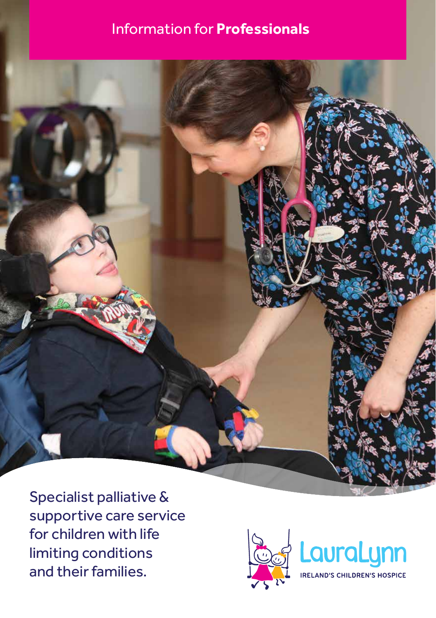### Information for **Professionals**



Specialist palliative & supportive care service for children with life limiting conditions and their families.

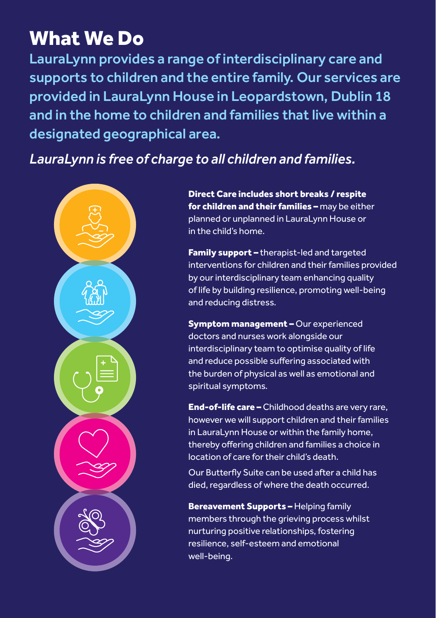## What We Do

LauraLynn provides a range of interdisciplinary care and supports to children and the entire family. Our services are provided in LauraLynn House in Leopardstown, Dublin 18 and in the home to children and families that live within a designated geographical area.

### *LauraLynn is free of charge to all children and families.*



Direct Care includes short breaks / respite for children and their families – may be either planned or unplanned in LauraLynn House or in the child's home.

Family support - therapist-led and targeted interventions for children and their families provided by our interdisciplinary team enhancing quality of life by building resilience, promoting well-being and reducing distress.

**Symptom management - Our experienced** doctors and nurses work alongside our interdisciplinary team to optimise quality of life and reduce possible suffering associated with the burden of physical as well as emotional and spiritual symptoms.

End-of-life care – Childhood deaths are very rare, however we will support children and their families in LauraLynn House or within the family home, thereby offering children and families a choice in location of care for their child's death.

Our Butterfly Suite can be used after a child has died, regardless of where the death occurred.

Bereavement Supports - Helping family members through the grieving process whilst nurturing positive relationships, fostering resilience, self-esteem and emotional well-being.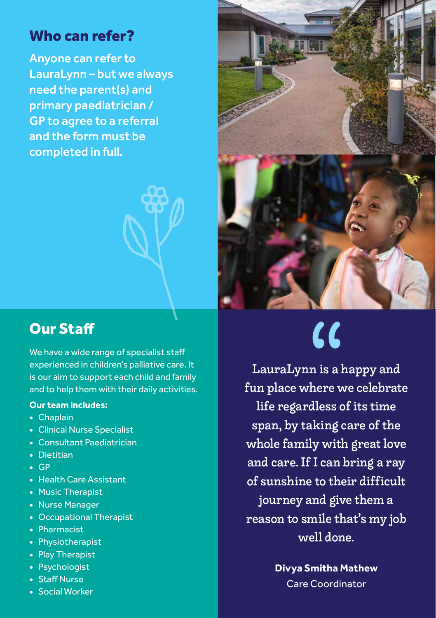### Who can refer?

Anyone can refer to LauraLynn – but we always need the parent(s) and primary paediatrician / GP to agree to a referral and the form must be completed in full.

### Our Staff

We have a wide range of specialist staff experienced in children's palliative care. It is our aim to support each child and family and to help them with their daily activities.

#### **Our team includes:**

- Chaplain
- Clinical Nurse Specialist
- Consultant Paediatrician
- Dietitian
- GP
- Health Care Assistant
- Music Therapist
- Nurse Manager
- Occupational Therapist
- Pharmacist
- Physiotherapist
- Play Therapist
- Psychologist
- Staff Nurse
- Social Worker



# $\alpha$

LauraLynn is a happy and fun place where we celebrate life regardless of its time span, by taking care of the whole family with great love and care. If I can bring a ray of sunshine to their difficult journey and give them a reason to smile that's my job well done.

> **Divya Smitha Mathew** Care Coordinator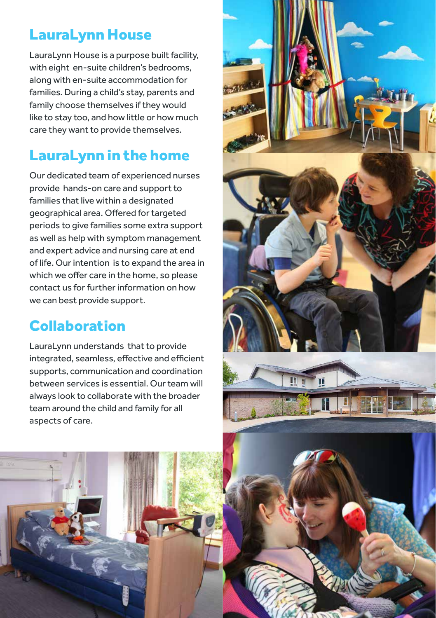### LauraLynn House

LauraLynn House is a purpose built facility, with eight en-suite children's bedrooms, along with en-suite accommodation for families. During a child's stay, parents and family choose themselves if they would like to stay too, and how little or how much care they want to provide themselves.

### LauraLynn in the home

Our dedicated team of experienced nurses provide hands-on care and support to families that live within a designated geographical area. Offered for targeted periods to give families some extra support as well as help with symptom management and expert advice and nursing care at end of life. Our intention is to expand the area in which we offer care in the home, so please contact us for further information on how we can best provide support.

### Collaboration

LauraLynn understands that to provide integrated, seamless, effective and efficient supports, communication and coordination between services is essential. Our team will always look to collaborate with the broader team around the child and family for all aspects of care.





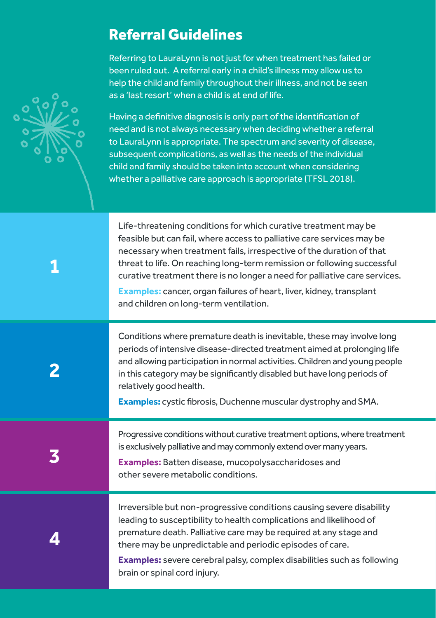### Referral Guidelines

Referring to LauraLynn is not just for when treatment has failed or been ruled out. A referral early in a child's illness may allow us to help the child and family throughout their illness, and not be seen as a 'last resort' when a child is at end of life.

Having a definitive diagnosis is only part of the identification of need and is not always necessary when deciding whether a referral to LauraLynn is appropriate. The spectrum and severity of disease, subsequent complications, as well as the needs of the individual child and family should be taken into account when considering whether a palliative care approach is appropriate (TFSL 2018).

Life-threatening conditions for which curative treatment may be feasible but can fail, where access to palliative care services may be necessary when treatment fails, irrespective of the duration of that threat to life. On reaching long-term remission or following successful curative treatment there is no longer a need for palliative care services.

**Examples:** cancer, organ failures of heart, liver, kidney, transplant and children on long-term ventilation.

Conditions where premature death is inevitable, these may involve long periods of intensive disease-directed treatment aimed at prolonging life and allowing participation in normal activities. Children and young people in this category may be significantly disabled but have long periods of relatively good health.

**Examples:** cystic fibrosis, Duchenne muscular dystrophy and SMA.

Progressive conditions without curative treatment options, where treatment is exclusively palliative and may commonly extend over many years.

**Examples:** Batten disease, mucopolysaccharidoses and other severe metabolic conditions.

**4**

**3**

Irreversible but non-progressive conditions causing severe disability leading to susceptibility to health complications and likelihood of premature death. Palliative care may be required at any stage and there may be unpredictable and periodic episodes of care.

**Examples:** severe cerebral palsy, complex disabilities such as following brain or spinal cord injury.



**1**

**2**